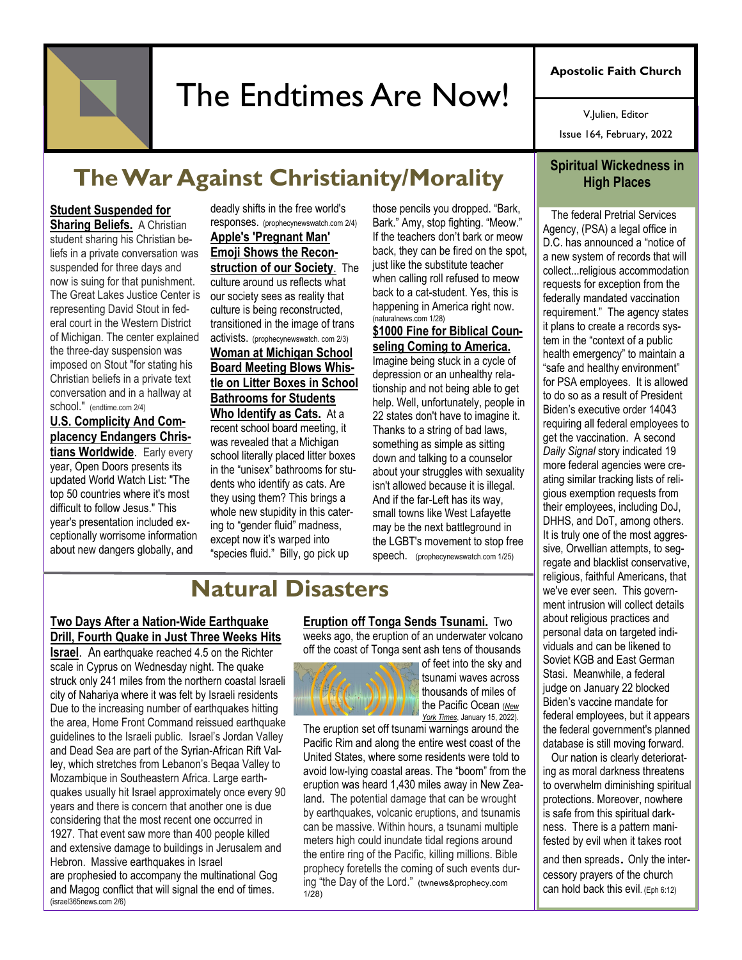# The Endtimes Are Now!

**Apostolic Faith Church**

V.Julien, Editor

Issue 164, February, 2022

## **The War Against Christianity/Morality**

#### **Student Suspended for**

**Sharing Beliefs.** A Christian student sharing his Christian beliefs in a private conversation was suspended for three days and now is suing for that punishment. The Great Lakes Justice Center is representing David Stout in federal court in the Western District of Michigan. The center explained the three-day suspension was imposed on Stout "for stating his Christian beliefs in a private text conversation and in a hallway at school." (endtime.com 2/4)

#### **[U.S. Complicity And Com](http://panela.prophecynewswatch.com/gtrack?clientid=108618&ul=%0DAA5TAAUeAh5ZBFtCWkAQARNVBHUEW1cIXhgAC11NRA==&ml=DARRTgUeAlUJUEQ=&sl=e0ogTmAxTzF1NkRBUl0BCABNR0cMRl4EUU8NAUdCTwIXVQofVlsMTAc=&pp=0&)[placency Endangers Chris](http://panela.prophecynewswatch.com/gtrack?clientid=108618&ul=%0DAA5TAAUeAh5ZBFtCWkAQARNVBHUEW1cIXhgAC11NRA==&ml=DARRTgUeAlUJUEQ=&sl=e0ogTmAxTzF1NkRBUl0BCABNR0cMRl4EUU8NAUdCTwIXVQofVlsMTAc=&pp=0&)[tians Worldwide](http://panela.prophecynewswatch.com/gtrack?clientid=108618&ul=%0DAA5TAAUeAh5ZBFtCWkAQARNVBHUEW1cIXhgAC11NRA==&ml=DARRTgUeAlUJUEQ=&sl=e0ogTmAxTzF1NkRBUl0BCABNR0cMRl4EUU8NAUdCTwIXVQofVlsMTAc=&pp=0&)**. Early every year, Open Doors presents its updated World Watch List: "The top 50 countries where it's most difficult to follow Jesus." This year's presentation included exceptionally worrisome information about new dangers globally, and

deadly shifts in the free world's responses. (prophecynewswatch.com 2/4) **[Apple's 'Pregnant Man'](http://links.prophecynewswatch.com/ss/c/7Toi5Awa1BPn_ASgQJ_YkSZsergMCKKC3pZfPpaSZCndiGgU39k_k4aJi7zmm6Vx8feCYM7OHmLxGKSqywDyArl_lf64SPzk7F8D9wlZrqs/3j9/3T_L5Fr0TOmuzbJL3gRJag/h8/ljIV564Teb9_xWmMTP1aTW68V7HwvUFfR8ZuwbyqHIs)  [Emoji Shows the Recon](http://links.prophecynewswatch.com/ss/c/7Toi5Awa1BPn_ASgQJ_YkSZsergMCKKC3pZfPpaSZCndiGgU39k_k4aJi7zmm6Vx8feCYM7OHmLxGKSqywDyArl_lf64SPzk7F8D9wlZrqs/3j9/3T_L5Fr0TOmuzbJL3gRJag/h8/ljIV564Teb9_xWmMTP1aTW68V7HwvUFfR8ZuwbyqHIs)[struction of our Society](http://links.prophecynewswatch.com/ss/c/7Toi5Awa1BPn_ASgQJ_YkSZsergMCKKC3pZfPpaSZCndiGgU39k_k4aJi7zmm6Vx8feCYM7OHmLxGKSqywDyArl_lf64SPzk7F8D9wlZrqs/3j9/3T_L5Fr0TOmuzbJL3gRJag/h8/ljIV564Teb9_xWmMTP1aTW68V7HwvUFfR8ZuwbyqHIs)**. The culture around us reflects what our society sees as reality that culture is being reconstructed, transitioned in the image of trans activists. (prophecynewswatch. com 2/3) **Woman at Michigan School Board Meeting Blows Whistle on Litter Boxes in School Bathrooms for Students Who Identify as Cats.** At a recent school board meeting, it was revealed that a Michigan school literally placed litter boxes in the "unisex" bathrooms for students who identify as cats. Are they using them? This brings a whole new stupidity in this catering to "gender fluid" madness, except now it's warped into "species fluid." Billy, go pick up

those pencils you dropped. "Bark, Bark." Amy, stop fighting. "Meow." If the teachers don't bark or meow back, they can be fired on the spot, just like the substitute teacher when calling roll refused to meow back to a cat-student. Yes, this is happening in America right now. (naturalnews.com 1/28)

#### **\$1000 Fine for Biblical Counseling Coming to America.**

Imagine being stuck in a cycle of depression or an unhealthy relationship and not being able to get help. Well, unfortunately, people in 22 states don't have to imagine it. Thanks to a string of bad laws, something as simple as sitting down and talking to a counselor about your struggles with sexuality isn't allowed because it is illegal. And if the far-Left has its way, small towns like West Lafayette may be the next battleground in the LGBT's movement to stop free speech. (prophecynewswatch.com 1/25)

### **Natural Disasters**

#### **Two Days After a Nation-Wide Earthquake Drill, Fourth Quake in Just Three Weeks Hits**

**Israel**. An earthquake reached 4.5 on the Richter scale in Cyprus on Wednesday night. The quake struck only 241 miles from the northern coastal Israeli city of Nahariya where it was felt by Israeli residents Due to the increasing number of earthquakes hitting the area, Home Front Command reissued earthquake guidelines to the Israeli public. Israel's Jordan Valley and Dead Sea are part of the [Syrian-African Rift Val](https://www.israel365news.com/110407/several-small-tremors-rattle-northern-israel/)[ley,](https://www.israel365news.com/110407/several-small-tremors-rattle-northern-israel/) which stretches from Lebanon's Beqaa Valley to Mozambique in Southeastern Africa. Large earthquakes usually hit Israel approximately once every 90 years and there is concern that another one is due considering that the most recent one occurred in 1927. That event saw more than 400 people killed and extensive damage to buildings in Jerusalem and Hebron. Massive [earthquakes](https://www.israel365news.com/65767/end-near-four-earthquakes-around-world-two-days/) in Israel are [prophesied](https://www.israel365news.com/46153/recent-dead-sea-earthquake-ushering-in-end-days-prophecy-jewish-world/) to accompany the multinational Gog and Magog conflict that will signal the end of times. (israel365news.com 2/6)

**Eruption off Tonga Sends Tsunami.** Two weeks ago, the eruption of an underwater volcano off the coast of Tonga sent ash tens of thousands



of feet into the sky and tsunami waves across thousands of miles of the Pacific Ocean (*[New](https://clicks.aweber.com/y/ct/?l=HmZFQ&m=3hWqT9o5naUGArj&b=iG5odrQZzzl6rgPUk4_6qw)  [York Times](https://clicks.aweber.com/y/ct/?l=HmZFQ&m=3hWqT9o5naUGArj&b=iG5odrQZzzl6rgPUk4_6qw)*, January 15, 2022).

The eruption set off tsunami warnings around the Pacific Rim and along the entire west coast of the United States, where some residents were told to avoid low-lying coastal areas. The "boom" from the eruption was heard 1,430 miles away in New Zealand. The potential damage that can be wrought by earthquakes, volcanic eruptions, and tsunamis can be massive. Within hours, a tsunami multiple meters high could inundate tidal regions around the entire ring of the Pacific, killing millions. Bible prophecy foretells the coming of such events during "the Day of the Lord." (twnews&prophecy.com  $1/\tilde{2}8$ 

### **Spiritual Wickedness in High Places**

 The federal Pretrial Services Agency, (PSA) a legal office in D.C. has announced a "notice of a new system of records that will collect...religious accommodation requests for exception from the federally mandated vaccination requirement." The agency states it plans to create a records system in the "context of a public health emergency" to maintain a "safe and healthy environment" for PSA employees. It is allowed to do so as a result of President Biden's executive order 14043 requiring all federal employees to get the vaccination. A second *Daily Signal* story indicated 19 more federal agencies were creating similar tracking lists of religious exemption requests from their employees, including DoJ, DHHS, and DoT, among others. It is truly one of the most aggressive, Orwellian attempts, to segregate and blacklist conservative, religious, faithful Americans, that we've ever seen. This government intrusion will collect details about religious practices and personal data on targeted individuals and can be likened to Soviet KGB and East German Stasi. Meanwhile, a federal judge on January 22 blocked Biden's vaccine mandate for federal employees, but it appears the federal government's planned database is still moving forward.

 Our nation is clearly deteriorating as moral darkness threatens to overwhelm diminishing spiritual protections. Moreover, nowhere is safe from this spiritual darkness. There is a pattern manifested by evil when it takes root

and then spreads. Only the intercessory prayers of the church can hold back this evil. (Eph 6:12)